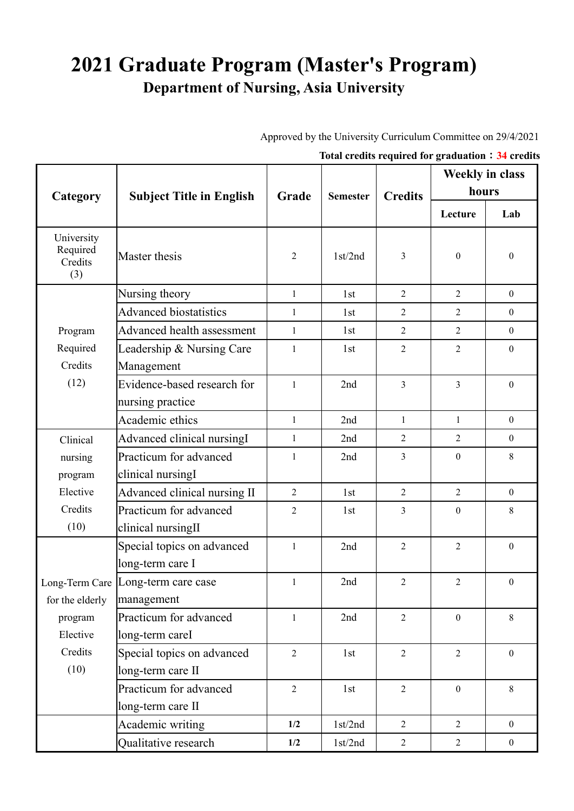## **2021 Graduate Program (Master's Program) Department of Nursing, Asia University**

Approved by the University Curriculum Committee on 29/4/2021

|  |  | Total credits required for graduation: 34 credits |  |  |
|--|--|---------------------------------------------------|--|--|
|  |  |                                                   |  |  |

|                                          | <b>Subject Title in English</b>                  | Grade          | <b>Semester</b> | <b>Credits</b> | <b>Weekly in class</b><br>hours |                  |  |
|------------------------------------------|--------------------------------------------------|----------------|-----------------|----------------|---------------------------------|------------------|--|
| Category                                 |                                                  |                |                 |                |                                 |                  |  |
|                                          |                                                  |                |                 |                | Lecture                         | Lab              |  |
| University<br>Required<br>Credits<br>(3) | Master thesis                                    | $\overline{2}$ | 1st/2nd         | 3              | $\boldsymbol{0}$                | $\boldsymbol{0}$ |  |
|                                          | Nursing theory                                   | $\mathbf{1}$   | 1st             | $\overline{2}$ | $\overline{2}$                  | $\boldsymbol{0}$ |  |
|                                          | <b>Advanced biostatistics</b>                    | $\mathbf{1}$   | 1st             | $\overline{2}$ | $\overline{2}$                  | $\boldsymbol{0}$ |  |
| Program                                  | Advanced health assessment                       | $\mathbf{1}$   | 1st             | $\overline{2}$ | $\overline{2}$                  | $\overline{0}$   |  |
| Required<br>Credits                      | Leadership & Nursing Care<br>Management          | $\mathbf{1}$   | 1st             | $\overline{2}$ | $\overline{2}$                  | $\boldsymbol{0}$ |  |
| (12)                                     | Evidence-based research for<br>nursing practice  | $\mathbf{1}$   | 2nd             | $\overline{3}$ | $\overline{3}$                  | $\theta$         |  |
|                                          | Academic ethics                                  | $\mathbf{1}$   | 2nd             | $\mathbf{1}$   | $\mathbf{1}$                    | $\boldsymbol{0}$ |  |
| Clinical                                 | Advanced clinical nursingI                       | 1              | 2nd             | $\overline{2}$ | $\overline{2}$                  | $\theta$         |  |
| nursing                                  | Practicum for advanced                           | 1              | 2nd             | $\overline{3}$ | $\mathbf{0}$                    | 8                |  |
| program                                  | clinical nursingI                                |                |                 |                |                                 |                  |  |
| Elective                                 | Advanced clinical nursing II                     | $\overline{2}$ | 1st             | $\overline{2}$ | $\overline{2}$                  | $\overline{0}$   |  |
| Credits<br>(10)                          | Practicum for advanced<br>clinical nursingII     | $\overline{2}$ | 1st             | 3              | $\mathbf{0}$                    | 8                |  |
|                                          | Special topics on advanced<br>long-term care I   | $\mathbf{1}$   | 2nd             | $\overline{2}$ | $\overline{2}$                  | $\theta$         |  |
| for the elderly                          | Long-Term Care Long-term care case<br>management | 1              | 2nd             | 2              | 2                               | $\mathbf{0}$     |  |
| program<br>Elective                      | Practicum for advanced<br>long-term careI        | $\mathbf{1}$   | 2nd             | $\overline{2}$ | $\boldsymbol{0}$                | 8                |  |
| Credits                                  | Special topics on advanced                       | $\overline{2}$ | 1st             | $\overline{2}$ | $\overline{2}$                  | $\overline{0}$   |  |
| (10)                                     | long-term care II                                |                |                 |                |                                 |                  |  |
|                                          | Practicum for advanced                           | $\overline{2}$ | 1st             | $\overline{2}$ | $\mathbf{0}$                    | 8                |  |
|                                          | long-term care II                                |                |                 |                |                                 |                  |  |
|                                          | Academic writing                                 | 1/2            | 1st/2nd         | $\overline{2}$ | $\overline{2}$                  | $\overline{0}$   |  |
|                                          | Qualitative research                             | 1/2            | 1st/2nd         | $\overline{2}$ | $\overline{2}$                  | $\mathbf{0}$     |  |